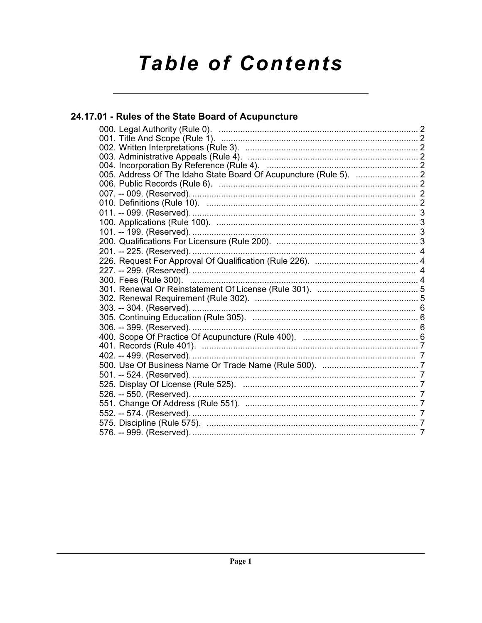# **Table of Contents**

## 24.17.01 - Rules of the State Board of Acupuncture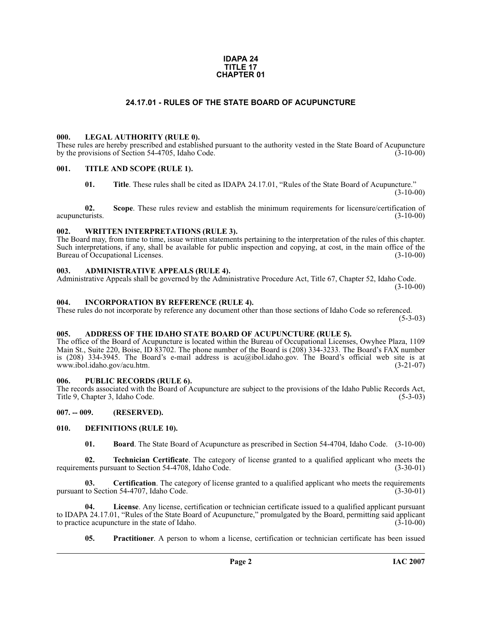#### **IDAPA 24 TITLE 17 CHAPTER 01**

#### **24.17.01 - RULES OF THE STATE BOARD OF ACUPUNCTURE**

#### <span id="page-1-1"></span><span id="page-1-0"></span>**000. LEGAL AUTHORITY (RULE 0).**

These rules are hereby prescribed and established pursuant to the authority vested in the State Board of Acupuncture by the provisions of Section 54-4705, Idaho Code. (3-10-00)

#### <span id="page-1-2"></span>**001. TITLE AND SCOPE (RULE 1).**

**01. Title**. These rules shall be cited as IDAPA 24.17.01, "Rules of the State Board of Acupuncture."  $(3-10-00)$ 

**02.** Scope. These rules review and establish the minimum requirements for licensure/certification of turists. (3-10-00) acupuncturists.

#### <span id="page-1-3"></span>**002. WRITTEN INTERPRETATIONS (RULE 3).**

The Board may, from time to time, issue written statements pertaining to the interpretation of the rules of this chapter. Such interpretations, if any, shall be available for public inspection and copying, at cost, in the main office of the Bureau of Occupational Licenses. (3-10-00) Bureau of Occupational Licenses.

#### <span id="page-1-4"></span>**003. ADMINISTRATIVE APPEALS (RULE 4).**

Administrative Appeals shall be governed by the Administrative Procedure Act, Title 67, Chapter 52, Idaho Code.  $(3-10-00)$ 

#### <span id="page-1-5"></span>**004. INCORPORATION BY REFERENCE (RULE 4).**

These rules do not incorporate by reference any document other than those sections of Idaho Code so referenced.  $(5-3-03)$ 

#### <span id="page-1-6"></span>**005. ADDRESS OF THE IDAHO STATE BOARD OF ACUPUNCTURE (RULE 5).**

[The office of the Board of Acupuncture is located within the Bureau of Occupational Licenses, Owyhee Plaza, 1109](mailto:acu@ibol.idaho.gov) Main St., Suite 220, Boise, ID 83702. The phone number of the Board is (208) 334-3233. The Board's FAX number is (208) 334-3945. The Board's e-mail address is acu@ibol.idaho.gov. The Board's official web site is at [www.ibol.idaho.gov/acu.htm. \(3-21-07\)](HTTP://www.ibol.idaho.gov/acu.htm)

#### <span id="page-1-7"></span>**006. PUBLIC RECORDS (RULE 6).**

The records associated with the Board of Acupuncture are subject to the provisions of the Idaho Public Records Act,<br>Title 9, Chapter 3, Idaho Code. (5-3-03) Title 9, Chapter 3, Idaho Code.

<span id="page-1-8"></span>**007. -- 009. (RESERVED).**

#### <span id="page-1-9"></span>**010. DEFINITIONS (RULE 10).**

<span id="page-1-13"></span><span id="page-1-11"></span><span id="page-1-10"></span>**01. Board**. The State Board of Acupuncture as prescribed in Section 54-4704, Idaho Code. (3-10-00)

**02. Technician Certificate**. The category of license granted to a qualified applicant who meets the ents pursuant to Section 54-4708, Idaho Code. (3-30-01) requirements pursuant to Section 54-4708, Idaho Code.

**03.** Certification. The category of license granted to a qualified applicant who meets the requirements to Section 54-4707. Idaho Code. pursuant to Section 54-4707, Idaho Code.

**04. License**. Any license, certification or technician certificate issued to a qualified applicant pursuant to IDAPA 24.17.01, "Rules of the State Board of Acupuncture," promulgated by the Board, permitting said applicant<br>to practice acupuncture in the state of Idaho to practice acupuncture in the state of Idaho.

<span id="page-1-12"></span>**05. Practitioner**. A person to whom a license, certification or technician certificate has been issued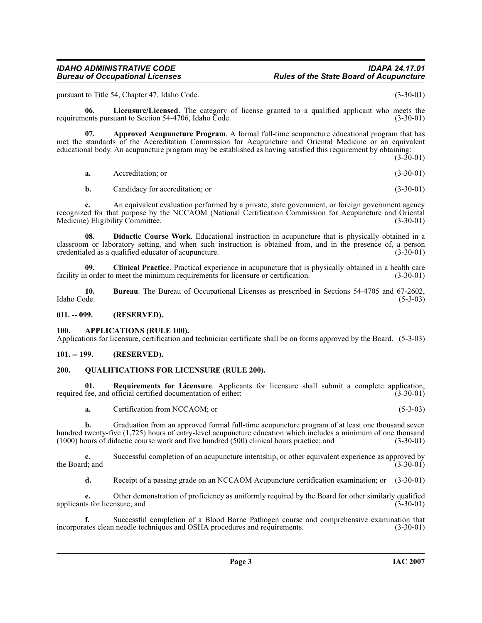pursuant to Title 54, Chapter 47, Idaho Code. (3-30-01)

<span id="page-2-7"></span>**06.** Licensure/Licensed. The category of license granted to a qualified applicant who meets the ents pursuant to Section 54-4706. Idaho Code. (3-30-01) requirements pursuant to Section 54-4706, Idaho Code.

**07. Approved Acupuncture Program**. A formal full-time acupuncture educational program that has met the standards of the Accreditation Commission for Acupuncture and Oriental Medicine or an equivalent educational body. An acupuncture program may be established as having satisfied this requirement by obtaining:

 $(3-30-01)$ 

<span id="page-2-5"></span>

| Accreditation; or<br><b>a.</b> | $(3-30-01)$ |
|--------------------------------|-------------|
|--------------------------------|-------------|

<span id="page-2-6"></span>**b.** Candidacy for accreditation; or (3-30-01)

**c.** An equivalent evaluation performed by a private, state government, or foreign government agency recognized for that purpose by the NCCAOM (National Certification Commission for Acupuncture and Oriental Medicine) Eligibility Committee. (3-30-01) Medicine) Eligibility Committee.

**08. Didactic Course Work**. Educational instruction in acupuncture that is physically obtained in a classroom or laboratory setting, and when such instruction is obtained from, and in the presence of, a person credentialed as a qualified educator of acupuncture. credentialed as a qualified educator of acupuncture.

**09.** Clinical Practice. Practical experience in acupuncture that is physically obtained in a health care note the minimum requirements for licensure or certification. (3-30-01) facility in order to meet the minimum requirements for licensure or certification.

**10.** Bureau. The Bureau of Occupational Licenses as prescribed in Sections 54-4705 and 67-2602, Idaho Code. (5-3-03) Idaho Code. (5-3-03)

<span id="page-2-0"></span>**011. -- 099. (RESERVED).**

#### <span id="page-2-4"></span><span id="page-2-1"></span>**100. APPLICATIONS (RULE 100).**

Applications for licensure, certification and technician certificate shall be on forms approved by the Board. (5-3-03)

#### <span id="page-2-2"></span>**101. -- 199. (RESERVED).**

#### <span id="page-2-8"></span><span id="page-2-3"></span>**200. QUALIFICATIONS FOR LICENSURE (RULE 200).**

**01. Requirements for Licensure**. Applicants for licensure shall submit a complete application, required fee, and official certified documentation of either: (3-30-01)

<span id="page-2-9"></span>**a.** Certification from NCCAOM; or (5-3-03)

**b.** Graduation from an approved formal full-time acupuncture program of at least one thousand seven hundred twenty-five (1,725) hours of entry-level acupuncture education which includes a minimum of one thousand (1000) hours of didactic course work and five hundred (500) clinical hours practice; and (3-30-01)  $(1000)$  hours of didactic course work and five hundred  $(500)$  clinical hours practice; and

**c.** Successful completion of an acupuncture internship, or other equivalent experience as approved by the Board; and  $(3-30-01)$ 

**d.** Receipt of a passing grade on an NCCAOM Acupuncture certification examination; or (3-30-01)

**e.** Other demonstration of proficiency as uniformly required by the Board for other similarly qualified ts for licensure; and (3-30-01) applicants for licensure; and

**f.** Successful completion of a Blood Borne Pathogen course and comprehensive examination that ates clean needle techniques and OSHA procedures and requirements. (3-30-01) incorporates clean needle techniques and OSHA procedures and requirements.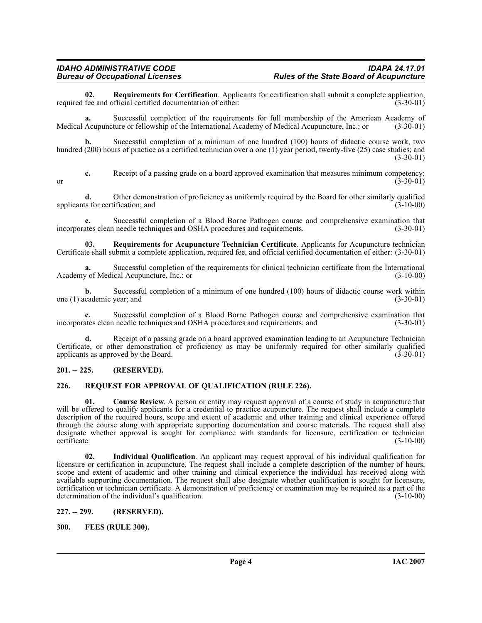<span id="page-3-8"></span>**02.** Requirements for Certification. Applicants for certification shall submit a complete application, fee and official certified documentation of either: (3-30-01) required fee and official certified documentation of either:

**a.** Successful completion of the requirements for full membership of the American Academy of Acupuncture or fellowship of the International Academy of Medical Acupuncture, Inc.; or (3-30-01) Medical Acupuncture or fellowship of the International Academy of Medical Acupuncture, Inc.; or

**b.** Successful completion of a minimum of one hundred (100) hours of didactic course work, two hundred (200) hours of practice as a certified technician over a one (1) year period, twenty-five (25) case studies; and (3-30-01)

**c.** Receipt of a passing grade on a board approved examination that measures minimum competency;<br>(3-30-01) or  $(3-30-01)$ 

**d.** Other demonstration of proficiency as uniformly required by the Board for other similarly qualified applicants for certification; and  $(3-10-00)$ 

**e.** Successful completion of a Blood Borne Pathogen course and comprehensive examination that ates clean needle techniques and OSHA procedures and requirements. (3-30-01) incorporates clean needle techniques and OSHA procedures and requirements.

<span id="page-3-7"></span>**03. Requirements for Acupuncture Technician Certificate**. Applicants for Acupuncture technician Certificate shall submit a complete application, required fee, and official certified documentation of either: (3-30-01)

**a.** Successful completion of the requirements for clinical technician certificate from the International  $\gamma$  of Medical Acupuncture, Inc.; or Academy of Medical Acupuncture, Inc.; or

**b.** Successful completion of a minimum of one hundred (100) hours of didactic course work within cademic year; and (3-30-01) one  $(1)$  academic year; and

**c.** Successful completion of a Blood Borne Pathogen course and comprehensive examination that ates clean needle techniques and OSHA procedures and requirements; and (3-30-01) incorporates clean needle techniques and OSHA procedures and requirements; and

**d.** Receipt of a passing grade on a board approved examination leading to an Acupuncture Technician Certificate, or other demonstration of proficiency as may be uniformly required for other similarly qualified applicants as approved by the Board. (3-30-01) applicants as approved by the Board.

#### <span id="page-3-0"></span>**201. -- 225. (RESERVED).**

#### <span id="page-3-6"></span><span id="page-3-1"></span>**226. REQUEST FOR APPROVAL OF QUALIFICATION (RULE 226).**

<span id="page-3-4"></span>**01. Course Review**. A person or entity may request approval of a course of study in acupuncture that will be offered to qualify applicants for a credential to practice acupuncture. The request shall include a complete description of the required hours, scope and extent of academic and other training and clinical experience offered through the course along with appropriate supporting documentation and course materials. The request shall also designate whether approval is sought for compliance with standards for licensure, certification or technician certificate. (3-10-00) certificate. (3-10-00)

**02. Individual Qualification**. An applicant may request approval of his individual qualification for licensure or certification in acupuncture. The request shall include a complete description of the number of hours, scope and extent of academic and other training and clinical experience the individual has received along with available supporting documentation. The request shall also designate whether qualification is sought for licensure, certification or technician certificate. A demonstration of proficiency or examination may be required as a part of the determination of the individual's qualification. (3-10-00)

#### <span id="page-3-2"></span>**227. -- 299. (RESERVED).**

#### <span id="page-3-5"></span><span id="page-3-3"></span>**300. FEES (RULE 300).**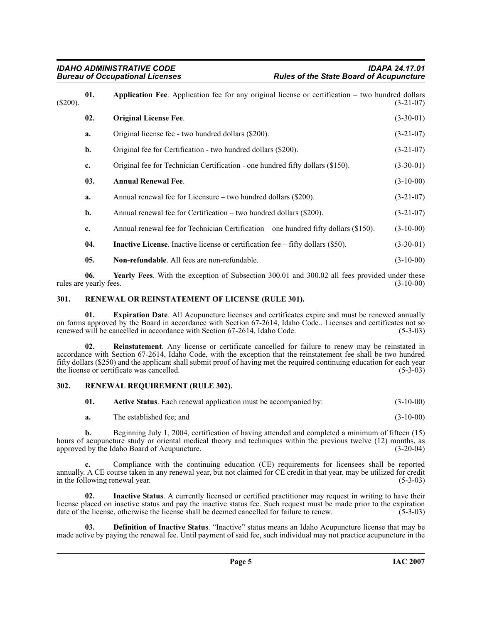<span id="page-4-9"></span><span id="page-4-4"></span><span id="page-4-3"></span>

| $(\$200).$ | 01. | Application Fee. Application fee for any original license or certification – two hundred dollars<br>$(3-21-07)$ |             |  |
|------------|-----|-----------------------------------------------------------------------------------------------------------------|-------------|--|
|            | 02. | <b>Original License Fee.</b>                                                                                    | $(3-30-01)$ |  |
|            | a.  | Original license fee - two hundred dollars (\$200).                                                             | $(3-21-07)$ |  |
|            | b.  | Original fee for Certification - two hundred dollars (\$200).                                                   | $(3-21-07)$ |  |
|            | c.  | Original fee for Technician Certification - one hundred fifty dollars (\$150).                                  | $(3-30-01)$ |  |
|            | 03. | <b>Annual Renewal Fee.</b>                                                                                      | $(3-10-00)$ |  |
|            | a.  | Annual renewal fee for Licensure – two hundred dollars $(\$200)$ .                                              | $(3-21-07)$ |  |
|            | b.  | Annual renewal fee for Certification – two hundred dollars $(\$200)$ .                                          | $(3-21-07)$ |  |
|            | c.  | Annual renewal fee for Technician Certification – one hundred fifty dollars (\$150).                            | $(3-10-00)$ |  |
|            | 04. | <b>Inactive License.</b> Inactive license or certification fee $-$ fifty dollars (\$50).                        | $(3-30-01)$ |  |
|            | 05. | <b>Non-refundable.</b> All fees are non-refundable.                                                             | $(3-10-00)$ |  |

<span id="page-4-8"></span><span id="page-4-6"></span>**06. Yearly Fees**. With the exception of Subsection 300.01 and 300.02 all fees provided under these rules are yearly fees.  $(3-10-00)$ 

#### <span id="page-4-11"></span><span id="page-4-0"></span>**301. RENEWAL OR REINSTATEMENT OF LICENSE (RULE 301).**

**01. Expiration Date**. All Acupuncture licenses and certificates expire and must be renewed annually on forms approved by the Board in accordance with Section 67-2614, Idaho Code.. Licenses and certificates not so renewed will be cancelled in accordance with Section 67-2614, Idaho Code. (5-3-03) renewed will be cancelled in accordance with Section 67-2614, Idaho Code.

<span id="page-4-10"></span>**Reinstatement**. Any license or certificate cancelled for failure to renew may be reinstated in accordance with Section 67-2614, Idaho Code, with the exception that the reinstatement fee shall be two hundred fifty dollars (\$250) and the applicant shall submit proof of having met the required continuing education for each year the license or certificate was cancelled.

#### <span id="page-4-1"></span>**302. RENEWAL REQUIREMENT (RULE 302).**

<span id="page-4-12"></span><span id="page-4-2"></span>

| 01. | Active Status. Each renewal application must be accompanied by: | $(3-10-00)$ |
|-----|-----------------------------------------------------------------|-------------|
| а.  | The established fee; and                                        | $(3-10-00)$ |

**b.** Beginning July 1, 2004, certification of having attended and completed a minimum of fifteen (15) hours of acupuncture study or oriental medical theory and techniques within the previous twelve (12) months, as approved by the Idaho Board of Acupuncture. (3-20-04) approved by the Idaho Board of Acupuncture.

**c.** Compliance with the continuing education (CE) requirements for licensees shall be reported annually. A CE course taken in any renewal year, but not claimed for CE credit in that year, may be utilized for credit in the following renewal year.

<span id="page-4-7"></span>**Inactive Status**. A currently licensed or certified practitioner may request in writing to have their license placed on inactive status and pay the inactive status fee. Such request must be made prior to the expiration date of the license, otherwise the license shall be deemed cancelled for failure to renew. (5-3-03) date of the license, otherwise the license shall be deemed cancelled for failure to renew.

<span id="page-4-5"></span>**03. Definition of Inactive Status**. "Inactive" status means an Idaho Acupuncture license that may be made active by paying the renewal fee. Until payment of said fee, such individual may not practice acupuncture in the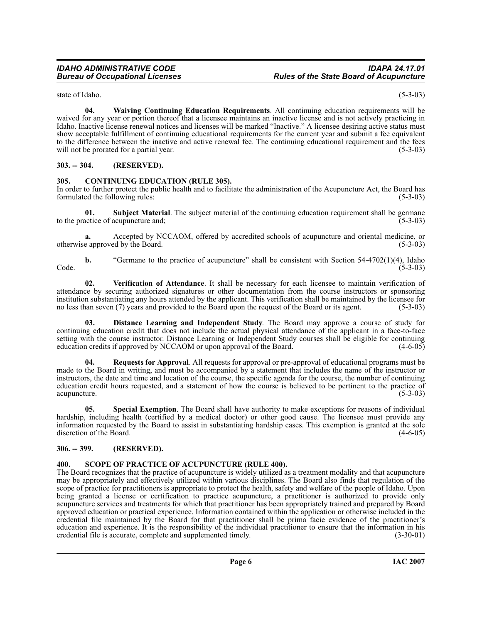<span id="page-5-10"></span>**04. Waiving Continuing Education Requirements**. All continuing education requirements will be waived for any year or portion thereof that a licensee maintains an inactive license and is not actively practicing in Idaho. Inactive license renewal notices and licenses will be marked "Inactive." A licensee desiring active status must show acceptable fulfillment of continuing educational requirements for the current year and submit a fee equivalent to the difference between the inactive and active renewal fee. The continuing educational requirement and the fees<br>will not be prorated for a partial year. (5-3-03) will not be prorated for a partial year.

#### <span id="page-5-0"></span>**303. -- 304. (RESERVED).**

#### <span id="page-5-4"></span><span id="page-5-1"></span>**305. CONTINUING EDUCATION (RULE 305).**

In order to further protect the public health and to facilitate the administration of the Acupuncture Act, the Board has formulated the following rules: (5-3-03) formulated the following rules:

**01. Subject Material**. The subject material of the continuing education requirement shall be germane actice of acupuncture and: (5-3-03) to the practice of acupuncture and;

**a.** Accepted by NCCAOM, offered by accredited schools of acupuncture and oriental medicine, or e approved by the Board. (5-3-03) otherwise approved by the Board.

**b.** "Germane to the practice of acupuncture" shall be consistent with Section 54-4702(1)(4), Idaho (5-3-03)  $\text{Code.}$  (5-3-03)

<span id="page-5-9"></span>**02. Verification of Attendance**. It shall be necessary for each licensee to maintain verification of attendance by securing authorized signatures or other documentation from the course instructors or sponsoring institution substantiating any hours attended by the applicant. This verification shall be maintained by the licensee for no less than seven (7) years and provided to the Board upon the request of the Board or its agent. (5-3-03)

<span id="page-5-5"></span>**03. Distance Learning and Independent Study**. The Board may approve a course of study for continuing education credit that does not include the actual physical attendance of the applicant in a face-to-face setting with the course instructor. Distance Learning or Independent Study courses shall be eligible for continuing education credits if approved by NCCAOM or upon approval of the Board. (4-6-05)

<span id="page-5-6"></span>**04. Requests for Approval**. All requests for approval or pre-approval of educational programs must be made to the Board in writing, and must be accompanied by a statement that includes the name of the instructor or instructors, the date and time and location of the course, the specific agenda for the course, the number of continuing education credit hours requested, and a statement of how the course is believed to be pertinent to the practice of acupuncture. (5-3-03)

<span id="page-5-8"></span>**05. Special Exemption**. The Board shall have authority to make exceptions for reasons of individual hardship, including health (certified by a medical doctor) or other good cause. The licensee must provide any information requested by the Board to assist in substantiating hardship cases. This exemption is granted at the sole discretion of the Board.

#### <span id="page-5-2"></span>**306. -- 399. (RESERVED).**

#### <span id="page-5-7"></span><span id="page-5-3"></span>**400. SCOPE OF PRACTICE OF ACUPUNCTURE (RULE 400).**

The Board recognizes that the practice of acupuncture is widely utilized as a treatment modality and that acupuncture may be appropriately and effectively utilized within various disciplines. The Board also finds that regulation of the scope of practice for practitioners is appropriate to protect the health, safety and welfare of the people of Idaho. Upon being granted a license or certification to practice acupuncture, a practitioner is authorized to provide only acupuncture services and treatments for which that practitioner has been appropriately trained and prepared by Board approved education or practical experience. Information contained within the application or otherwise included in the credential file maintained by the Board for that practitioner shall be prima facie evidence of the practitioner's education and experience. It is the responsibility of the individual practitioner to ensure that the information in his credential file is accurate, complete and supplemented timely. (3-30-01) credential file is accurate, complete and supplemented timely.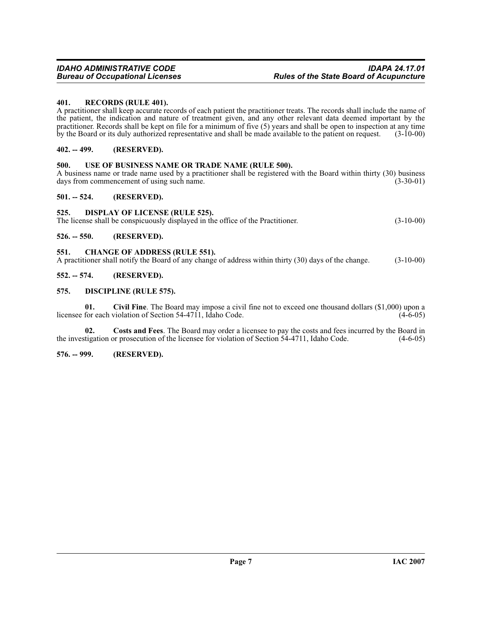#### <span id="page-6-12"></span><span id="page-6-0"></span>**401. RECORDS (RULE 401).**

A practitioner shall keep accurate records of each patient the practitioner treats. The records shall include the name of the patient, the indication and nature of treatment given, and any other relevant data deemed important by the practitioner. Records shall be kept on file for a minimum of five (5) years and shall be open to inspection at any time by the Board or its duly authorized representative and shall be made available to the patient on request. (3-10-00)

#### <span id="page-6-1"></span>**402. -- 499. (RESERVED).**

#### <span id="page-6-13"></span><span id="page-6-2"></span>**500. USE OF BUSINESS NAME OR TRADE NAME (RULE 500).**

A business name or trade name used by a practitioner shall be registered with the Board within thirty (30) business days from commencement of using such name. (3-30-01) days from commencement of using such name.

#### <span id="page-6-3"></span>**501. -- 524. (RESERVED).**

#### <span id="page-6-11"></span><span id="page-6-4"></span>**525. DISPLAY OF LICENSE (RULE 525).**

The license shall be conspicuously displayed in the office of the Practitioner. (3-10-00)

<span id="page-6-5"></span>**526. -- 550. (RESERVED).**

#### <span id="page-6-10"></span><span id="page-6-6"></span>**551. CHANGE OF ADDRESS (RULE 551).**

A practitioner shall notify the Board of any change of address within thirty (30) days of the change. (3-10-00)

#### <span id="page-6-7"></span>**552. -- 574. (RESERVED).**

#### <span id="page-6-8"></span>**575. DISCIPLINE (RULE 575).**

**01. Civil Fine**. The Board may impose a civil fine not to exceed one thousand dollars (\$1,000) upon a licensee for each violation of Section  $54-4711$ , Idaho Code.

**02.** Costs and Fees. The Board may order a licensee to pay the costs and fees incurred by the Board in tigation or prosecution of the licensee for violation of Section 54-4711, Idaho Code.  $(4-6-05)$ the investigation or prosecution of the licensee for violation of Section 54-4711, Idaho Code.

#### <span id="page-6-9"></span>**576. -- 999. (RESERVED).**